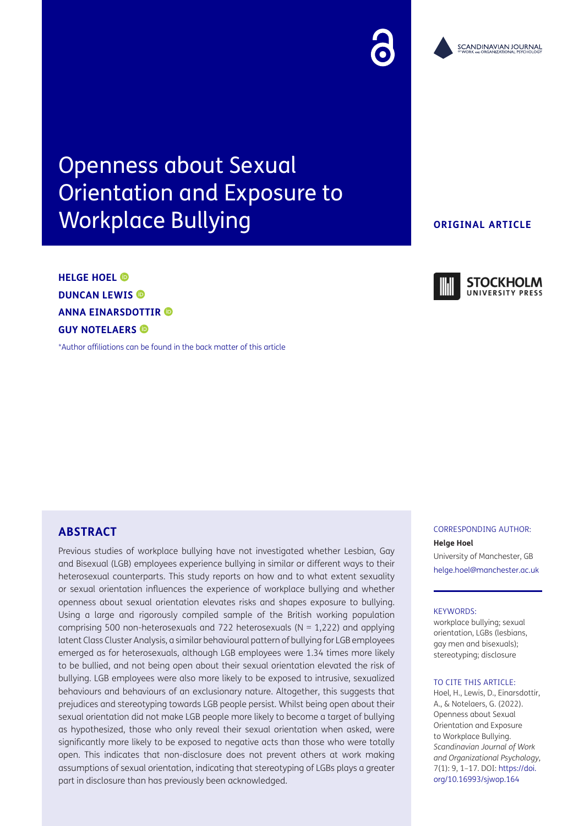# Openness about Sexual Orientation and Exposure to Workplace Bullying

# **HELGE HOEL DUNCAN LEWIS ANNA EINARSDOTTIR GUY NOTELAERS**

[\\*Author affiliations can be found in the back matter of this article](#page-12-0)

#### **ORIGINAL ARTICLE**

CORRESPONDING AUTHOR:

**Helge Hoel** University of Manchester, GB [helge.hoel@manchester.ac.uk](mailto:helge.hoel@manchester.ac.uk)

#### KEYWORDS:

workplace bullying; sexual orientation, LGBs (lesbians, gay men and bisexuals); stereotyping; disclosure

#### TO CITE THIS ARTICLE:

Hoel, H., Lewis, D., Einarsdottir, A., & Notelaers, G. (2022). Openness about Sexual Orientation and Exposure to Workplace Bullying. *Scandinavian Journal of Work and Organizational Psychology,* 7(1): 9, 1–17. DOI: [https://doi.](https://doi.org/10.16993/sjwop.164) [org/10.16993/sjwop.164](https://doi.org/10.16993/sjwop.164)

# **ABSTRACT**

Previous studies of workplace bullying have not investigated whether Lesbian, Gay and Bisexual (LGB) employees experience bullying in similar or different ways to their heterosexual counterparts. This study reports on how and to what extent sexuality or sexual orientation influences the experience of workplace bullying and whether openness about sexual orientation elevates risks and shapes exposure to bullying. Using a large and rigorously compiled sample of the British working population comprising 500 non-heterosexuals and 722 heterosexuals ( $N = 1,222$ ) and applying latent Class Cluster Analysis, a similar behavioural pattern of bullying for LGB employees emerged as for heterosexuals, although LGB employees were 1.34 times more likely to be bullied, and not being open about their sexual orientation elevated the risk of bullying. LGB employees were also more likely to be exposed to intrusive, sexualized behaviours and behaviours of an exclusionary nature. Altogether, this suggests that prejudices and stereotyping towards LGB people persist. Whilst being open about their sexual orientation did not make LGB people more likely to become a target of bullying as hypothesized, those who only reveal their sexual orientation when asked, were significantly more likely to be exposed to negative acts than those who were totally open. This indicates that non-disclosure does not prevent others at work making assumptions of sexual orientation, indicating that stereotyping of LGBs plays a greater part in disclosure than has previously been acknowledged.





**UNIVERSITY PRESS**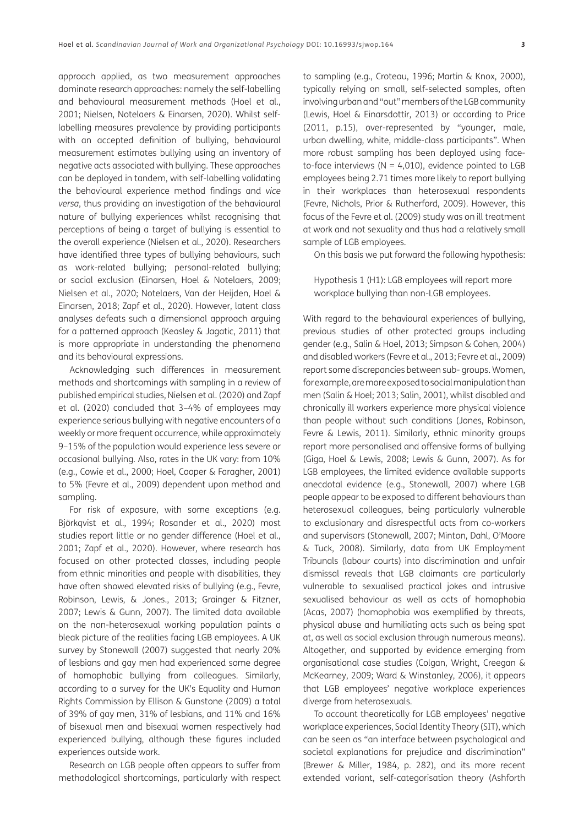approach applied, as two measurement approaches dominate research approaches: namely the self-labelling and behavioural measurement methods [\(Hoel et al.,](#page-13-0) [2001](#page-13-0); [Nielsen, Notelaers & Einarsen, 2020\)](#page-14-0). Whilst selflabelling measures prevalence by providing participants with an accepted definition of bullying, behavioural measurement estimates bullying using an inventory of negative acts associated with bullying. These approaches can be deployed in tandem, with self-labelling validating the behavioural experience method findings and *vice versa*, thus providing an investigation of the behavioural nature of bullying experiences whilst recognising that perceptions of being a target of bullying is essential to the overall experience [\(Nielsen et al., 2020](#page-14-0)). Researchers have identified three types of bullying behaviours, such as work-related bullying; personal-related bullying; or social exclusion [\(Einarsen, Hoel & Notelaers, 2009](#page-13-1); [Nielsen et al., 2020;](#page-14-0) Notelaers, Van der Heijden, Hoel & Einarsen, 2018; [Zapf et al., 2020\)](#page-15-0). However, latent class analyses defeats such a dimensional approach arguing for a patterned approach (Keasley & Jagatic, 2011) that is more appropriate in understanding the phenomena and its behavioural expressions.

Acknowledging such differences in measurement methods and shortcomings with sampling in a review of published empirical studies, Nielsen et al. [\(2020\)](#page-14-0) and Zapf et al. ([2020\)](#page-15-0) concluded that 3–4% of employees may experience serious bullying with negative encounters of a weekly or more frequent occurrence, while approximately 9–15% of the population would experience less severe or occasional bullying. Also, rates in the UK vary: from 10% (e.g., [Cowie et al., 2000](#page-12-1); [Hoel, Cooper & Faragher, 2001](#page-13-0)) to 5% ([Fevre et al., 2009\)](#page-13-2) dependent upon method and sampling.

For risk of exposure, with some exceptions (e.g. Björkqvist et al., 1994; [Rosander et al., 2020](#page-15-1)) most studies report little or no gender difference [\(Hoel et al.,](#page-13-0) [2001](#page-13-0); [Zapf et al., 2020](#page-15-0)). However, where research has focused on other protected classes, including people from ethnic minorities and people with disabilities, they have often showed elevated risks of bullying (e.g., [Fevre,](#page-13-3) [Robinson, Lewis, & Jones., 2013;](#page-13-3) [Grainger & Fitzner,](#page-13-4) [2007](#page-13-4); [Lewis & Gunn, 2007\)](#page-14-1). The limited data available on the non-heterosexual working population paints a bleak picture of the realities facing LGB employees. A UK survey by Stonewall (2007) suggested that nearly 20% of lesbians and gay men had experienced some degree of homophobic bullying from colleagues. Similarly, according to a survey for the UK's Equality and Human Rights Commission by Ellison & Gunstone [\(2009\)](#page-13-5) a total of 39% of gay men, 31% of lesbians, and 11% and 16% of bisexual men and bisexual women respectively had experienced bullying, although these figures included experiences outside work.

Research on LGB people often appears to suffer from methodological shortcomings, particularly with respect

to sampling (e.g., [Croteau, 1996;](#page-12-2) [Martin & Knox, 2000\)](#page-14-2), typically relying on small, self-selected samples, often involving urban and "out" members of the LGB community (Lewis, Hoel & Einarsdottír, 2013) or according to Price ([2011, p.15\)](#page-15-2), over-represented by "younger, male, urban dwelling, white, middle-class participants". When more robust sampling has been deployed using faceto-face interviews ( $N = 4,010$ ), evidence pointed to LGB employees being 2.71 times more likely to report bullying in their workplaces than heterosexual respondents ([Fevre, Nichols, Prior & Rutherford, 2009](#page-13-2)). However, this focus of the Fevre et al. ([2009](#page-13-2)) study was on ill treatment at work and not sexuality and thus had a relatively small sample of LGB employees.

On this basis we put forward the following hypothesis:

Hypothesis 1 (H1): LGB employees will report more workplace bullying than non-LGB employees.

With regard to the behavioural experiences of bullying, previous studies of other protected groups including gender (e.g., [Salin & Hoel, 2013;](#page-15-3) [Simpson & Cohen, 2004\)](#page-15-4) and disabled workers [\(Fevre et al., 2013](#page-13-3); [Fevre et al., 2009\)](#page-13-2) report some discrepancies between sub- groups. Women, for example, are more exposed to social manipulation than men [\(Salin & Hoel; 2013](#page-15-3); [Salin, 2001\)](#page-15-5), whilst disabled and chronically ill workers experience more physical violence than people without such conditions ([Jones, Robinson,](#page-13-6)  [Fevre & Lewis, 2011\)](#page-13-6). Similarly, ethnic minority groups report more personalised and offensive forms of bullying ([Giga, Hoel & Lewis, 2008;](#page-13-7) [Lewis & Gunn, 2007](#page-14-1)). As for LGB employees, the limited evidence available supports anecdotal evidence (e.g., [Stonewall, 2007](#page-15-6)) where LGB people appear to be exposed to different behaviours than heterosexual colleagues, being particularly vulnerable to exclusionary and disrespectful acts from co-workers and supervisors [\(Stonewall, 2007](#page-15-6); Minton, Dahl, O'Moore & Tuck, 2008). Similarly, data from UK Employment Tribunals (labour courts) into discrimination and unfair dismissal reveals that LGB claimants are particularly vulnerable to sexualised practical jokes and intrusive sexualised behaviour as well as acts of homophobia ([Acas, 2007](#page-12-3)) (homophobia was exemplified by threats, physical abuse and humiliating acts such as being spat at, as well as social exclusion through numerous means). Altogether, and supported by evidence emerging from organisational case studies ([Colgan, Wright, Creegan &](#page-12-4)  [McKearney, 2009;](#page-12-4) [Ward & Winstanley, 2006\)](#page-15-7), it appears that LGB employees' negative workplace experiences diverge from heterosexuals.

To account theoretically for LGB employees' negative workplace experiences, Social Identity Theory (SIT), which can be seen as "an interface between psychological and societal explanations for prejudice and discrimination" ([Brewer & Miller, 1984, p. 282\)](#page-12-5), and its more recent extended variant, self-categorisation theory [\(Ashforth](#page-12-6)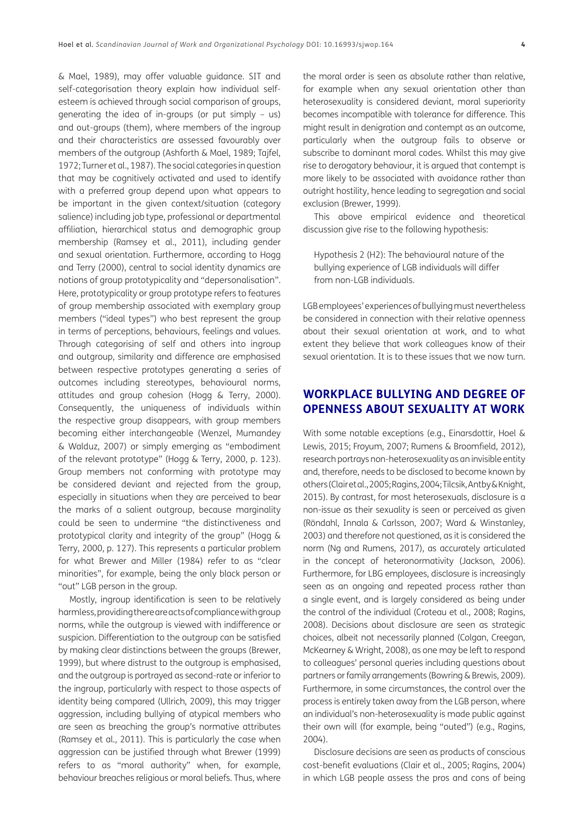[& Mael, 1989\)](#page-12-6), may offer valuable guidance. SIT and self-categorisation theory explain how individual selfesteem is achieved through social comparison of groups, generating the idea of in-groups (or put simply – us) and out-groups (them), where members of the ingroup and their characteristics are assessed favourably over members of the outgroup ([Ashforth & Mael, 1989](#page-12-6); [Tajfel,](#page-15-8) [1972](#page-15-8); [Turner et al., 1987\)](#page-15-9). The social categories in question that may be cognitively activated and used to identify with a preferred group depend upon what appears to be important in the given context/situation (category salience) including job type, professional or departmental affiliation, hierarchical status and demographic group membership [\(Ramsey et al., 2011](#page-15-10)), including gender and sexual orientation. Furthermore, according to Hogg and Terry [\(2000\)](#page-13-8), central to social identity dynamics are notions of group prototypicality and "depersonalisation". Here, prototypicality or group prototype refers to features of group membership associated with exemplary group members ("ideal types") who best represent the group in terms of perceptions, behaviours, feelings and values. Through categorising of self and others into ingroup and outgroup, similarity and difference are emphasised between respective prototypes generating a series of outcomes including stereotypes, behavioural norms, attitudes and group cohesion [\(Hogg & Terry, 2000](#page-13-8)). Consequently, the uniqueness of individuals within the respective group disappears, with group members becoming either interchangeable ([Wenzel, Mumandey](#page-15-11) [& Walduz, 2007](#page-15-11)) or simply emerging as "embodiment of the relevant prototype" ([Hogg & Terry, 2000, p. 123](#page-13-8)). Group members not conforming with prototype may be considered deviant and rejected from the group, especially in situations when they are perceived to bear the marks of a salient outgroup, because marginality could be seen to undermine "the distinctiveness and prototypical clarity and integrity of the group" ([Hogg &](#page-13-8) [Terry, 2000, p. 127](#page-13-8)). This represents a particular problem for what Brewer and Miller [\(1984](#page-12-5)) refer to as "clear minorities", for example, being the only black person or "out" LGB person in the group.

Mostly, ingroup identification is seen to be relatively harmless, providing there are acts of compliance with group norms, while the outgroup is viewed with indifference or suspicion. Differentiation to the outgroup can be satisfied by making clear distinctions between the groups ([Brewer,](#page-12-7) [1999](#page-12-7)), but where distrust to the outgroup is emphasised, and the outgroup is portrayed as second-rate or inferior to the ingroup, particularly with respect to those aspects of identity being compared (Ullrich, 2009), this may trigger aggression, including bullying of atypical members who are seen as breaching the group's normative attributes [\(Ramsey et al., 2011\)](#page-15-10). This is particularly the case when aggression can be justified through what Brewer ([1999](#page-12-7)) refers to as "moral authority" when, for example, behaviour breaches religious or moral beliefs. Thus, where the moral order is seen as absolute rather than relative, for example when any sexual orientation other than heterosexuality is considered deviant, moral superiority becomes incompatible with tolerance for difference. This might result in denigration and contempt as an outcome, particularly when the outgroup fails to observe or subscribe to dominant moral codes. Whilst this may give rise to derogatory behaviour, it is argued that contempt is more likely to be associated with avoidance rather than outright hostility, hence leading to segregation and social exclusion [\(Brewer, 1999](#page-12-7)).

This above empirical evidence and theoretical discussion give rise to the following hypothesis:

Hypothesis 2 (H2): The behavioural nature of the bullying experience of LGB individuals will differ from non-LGB individuals.

LGB employees' experiences of bullying must nevertheless be considered in connection with their relative openness about their sexual orientation at work, and to what extent they believe that work colleagues know of their sexual orientation. It is to these issues that we now turn.

# **WORKPLACE BULLYING AND DEGREE OF OPENNESS ABOUT SEXUALITY AT WORK**

With some notable exceptions (e.g., Einarsdottír, Hoel & Lewis, 2015; [Froyum, 2007;](#page-13-9) [Rumens & Broomfield, 2012\)](#page-15-12), research portrays non-heterosexuality as an invisible entity and, therefore, needs to be disclosed to become known by others ([Clair et al., 2005;](#page-12-8) [Ragins, 2004;](#page-15-13) [Tilcsik, Antby & Knight,](#page-15-14)  [2015](#page-15-14)). By contrast, for most heterosexuals, disclosure is a non-issue as their sexuality is seen or perceived as given (Röndahl, Innala & Carlsson, 2007; [Ward & Winstanley,](#page-15-15)  [2003](#page-15-15)) and therefore not questioned, as it is considered the norm ([Ng and Rumens, 2017\)](#page-14-3), as accurately articulated in the concept of heteronormativity [\(Jackson, 2006\)](#page-13-10). Furthermore, for LBG employees, disclosure is increasingly seen as an ongoing and repeated process rather than a single event, and is largely considered as being under the control of the individual ([Croteau et al., 2008](#page-12-9); [Ragins,](#page-15-16)  [2008](#page-15-16)). Decisions about disclosure are seen as strategic choices, albeit not necessarily planned [\(Colgan, Creegan,](#page-12-10)  [McKearney & Wright, 2008](#page-12-10)), as one may be left to respond to colleagues' personal queries including questions about partners or family arrangements ([Bowring & Brewis, 2009\)](#page-12-11). Furthermore, in some circumstances, the control over the process is entirely taken away from the LGB person, where an individual's non-heterosexuality is made public against their own will (for example, being "outed") (e.g., [Ragins,](#page-15-13)  [2004](#page-15-13)).

Disclosure decisions are seen as products of conscious cost-benefit evaluations [\(Clair et al., 2005;](#page-12-8) [Ragins, 2004\)](#page-15-13) in which LGB people assess the pros and cons of being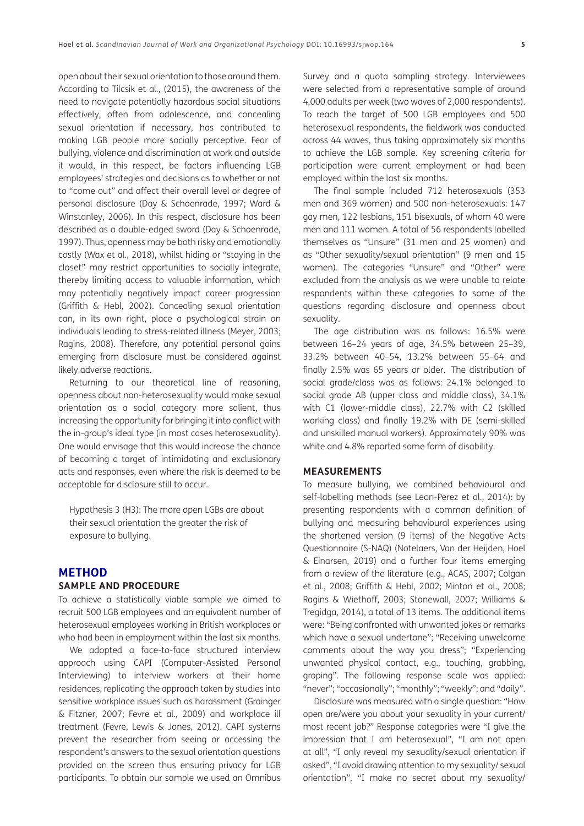open about their sexual orientation to those around them. According to Tilcsik et al., ([2015\)](#page-15-14), the awareness of the need to navigate potentially hazardous social situations effectively, often from adolescence, and concealing sexual orientation if necessary, has contributed to making LGB people more socially perceptive. Fear of bullying, violence and discrimination at work and outside it would, in this respect, be factors influencing LGB employees' strategies and decisions as to whether or not to "come out" and affect their overall level or degree of personal disclosure ([Day & Schoenrade, 1997;](#page-12-12) [Ward &](#page-15-7) [Winstanley, 2006\)](#page-15-7). In this respect, disclosure has been described as a double-edged sword ([Day & Schoenrade,](#page-12-12) [1997](#page-12-12)). Thus, openness may be both risky and emotionally costly (Wax et al., 2018), whilst hiding or "staying in the closet" may restrict opportunities to socially integrate, thereby limiting access to valuable information, which may potentially negatively impact career progression [\(Griffith & Hebl, 2002](#page-13-11)). Concealing sexual orientation can, in its own right, place a psychological strain on individuals leading to stress-related illness ([Meyer, 2003](#page-14-4); [Ragins, 2008\)](#page-15-16). Therefore, any potential personal gains emerging from disclosure must be considered against likely adverse reactions.

Returning to our theoretical line of reasoning, openness about non-heterosexuality would make sexual orientation as a social category more salient, thus increasing the opportunity for bringing it into conflict with the in-group's ideal type (in most cases heterosexuality). One would envisage that this would increase the chance of becoming a target of intimidating and exclusionary acts and responses, even where the risk is deemed to be acceptable for disclosure still to occur.

Hypothesis 3 (H3): The more open LGBs are about their sexual orientation the greater the risk of exposure to bullying.

### **METHOD**

#### **SAMPLE AND PROCEDURE**

To achieve a statistically viable sample we aimed to recruit 500 LGB employees and an equivalent number of heterosexual employees working in British workplaces or who had been in employment within the last six months.

We adopted a face-to-face structured interview approach using CAPI (Computer-Assisted Personal Interviewing) to interview workers at their home residences, replicating the approach taken by studies into sensitive workplace issues such as harassment [\(Grainger](#page-13-4) [& Fitzner, 2007;](#page-13-4) [Fevre et al., 2009\)](#page-13-2) and workplace ill treatment ([Fevre, Lewis & Jones, 2012](#page-13-12)). CAPI systems prevent the researcher from seeing or accessing the respondent's answers to the sexual orientation questions provided on the screen thus ensuring privacy for LGB participants. To obtain our sample we used an Omnibus

Survey and a quota sampling strategy. Interviewees were selected from a representative sample of around 4,000 adults per week (two waves of 2,000 respondents). To reach the target of 500 LGB employees and 500 heterosexual respondents, the fieldwork was conducted across 44 waves, thus taking approximately six months to achieve the LGB sample. Key screening criteria for participation were current employment or had been employed within the last six months.

The final sample included 712 heterosexuals (353 men and 369 women) and 500 non-heterosexuals: 147 gay men, 122 lesbians, 151 bisexuals, of whom 40 were men and 111 women. A total of 56 respondents labelled themselves as "Unsure" (31 men and 25 women) and as "Other sexuality/sexual orientation" (9 men and 15 women). The categories "Unsure" and "Other" were excluded from the analysis as we were unable to relate respondents within these categories to some of the questions regarding disclosure and openness about sexuality.

The age distribution was as follows: 16.5% were between 16–24 years of age, 34.5% between 25–39, 33.2% between 40–54, 13.2% between 55–64 and finally 2.5% was 65 years or older. The distribution of social grade/class was as follows: 24.1% belonged to social grade AB (upper class and middle class), 34.1% with C1 (lower-middle class), 22.7% with C2 (skilled working class) and finally 19.2% with DE (semi-skilled and unskilled manual workers). Approximately 90% was white and 4.8% reported some form of disability.

#### **MEASUREMENTS**

To measure bullying, we combined behavioural and self-labelling methods (see [Leon-Perez et al., 2014\)](#page-14-5): by presenting respondents with a common definition of bullying and measuring behavioural experiences using the shortened version (9 items) of the Negative Acts Questionnaire (S-NAQ) [\(Notelaers, Van der Heijden, Hoel](#page-14-6)  [& Einarsen, 2019](#page-14-6)) and a further four items emerging from a review of the literature (e.g., [ACAS, 2007](#page-12-3); [Colgan](#page-12-10)  [et al., 2008;](#page-12-10) [Griffith & Hebl, 2002](#page-13-11); Minton et al., 2008; Ragins & Wiethoff, 2003; [Stonewall, 2007;](#page-15-6) [Williams &](#page-15-17)  [Tregidga, 2014](#page-15-17)), a total of 13 items. The additional items were: "Being confronted with unwanted jokes or remarks which have a sexual undertone"; "Receiving unwelcome comments about the way you dress"; "Experiencing unwanted physical contact, e.g., touching, grabbing, groping". The following response scale was applied: "never"; "occasionally"; "monthly"; "weekly"; and "daily".

Disclosure was measured with a single question: "How open are/were you about your sexuality in your current/ most recent job?" Response categories were "I give the impression that I am heterosexual", "I am not open at all", "I only reveal my sexuality/sexual orientation if asked", "I avoid drawing attention to my sexuality/ sexual orientation", "I make no secret about my sexuality/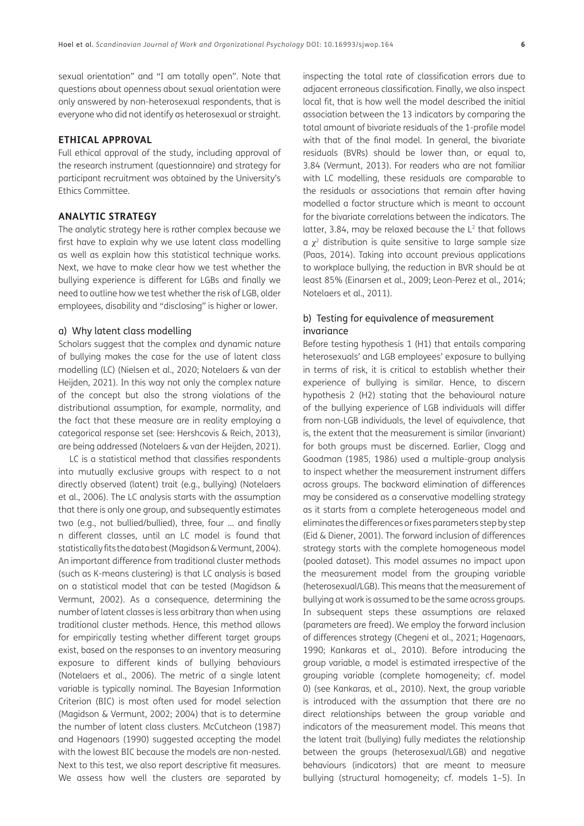sexual orientation" and "I am totally open". Note that questions about openness about sexual orientation were only answered by non-heterosexual respondents, that is everyone who did not identify as heterosexual or straight.

#### **ETHICAL APPROVAL**

Full ethical approval of the study, including approval of the research instrument (questionnaire) and strategy for participant recruitment was obtained by the University's Ethics Committee.

#### **ANALYTIC STRATEGY**

The analytic strategy here is rather complex because we first have to explain why we use latent class modelling as well as explain how this statistical technique works. Next, we have to make clear how we test whether the bullying experience is different for LGBs and finally we need to outline how we test whether the risk of LGB, older employees, disability and "disclosing" is higher or lower.

#### a) Why latent class modelling

Scholars suggest that the complex and dynamic nature of bullying makes the case for the use of latent class modelling (LC) [\(Nielsen et al., 2020;](#page-14-0) [Notelaers & van der](#page-15-18) [Heijden, 2021](#page-15-18)). In this way not only the complex nature of the concept but also the strong violations of the distributional assumption, for example, normality, and the fact that these measure are in reality employing a categorical response set (see: [Hershcovis & Reich, 2013](#page-13-13)), are being addressed [\(Notelaers & van der Heijden, 2021](#page-15-18)).

LC is a statistical method that classifies respondents into mutually exclusive groups with respect to a not directly observed (latent) trait (e.g., bullying) ([Notelaers](#page-14-7) [et al., 2006](#page-14-7)). The LC analysis starts with the assumption that there is only one group, and subsequently estimates two (e.g., not bullied/bullied), three, four … and finally n different classes, until an LC model is found that statistically fits the data best [\(Magidson & Vermunt, 2004](#page-14-8)). An important difference from traditional cluster methods (such as K-means clustering) is that LC analysis is based on a statistical model that can be tested ([Magidson &](#page-14-9) [Vermunt, 2002](#page-14-9)). As a consequence, determining the number of latent classes is less arbitrary than when using traditional cluster methods. Hence, this method allows for empirically testing whether different target groups exist, based on the responses to an inventory measuring exposure to different kinds of bullying behaviours [\(Notelaers et al., 2006](#page-14-7)). The metric of a single latent variable is typically nominal. The Bayesian Information Criterion (BIC) is most often used for model selection [\(Magidson & Vermunt, 2002;](#page-14-9) [2004](#page-14-8)) that is to determine the number of latent class clusters. McCutcheon ([1987](#page-14-10)) and Hagenaars ([1990](#page-13-14)) suggested accepting the model with the lowest BIC because the models are non-nested. Next to this test, we also report descriptive fit measures. We assess how well the clusters are separated by

inspecting the total rate of classification errors due to adjacent erroneous classification. Finally, we also inspect local fit, that is how well the model described the initial association between the 13 indicators by comparing the total amount of bivariate residuals of the 1-profile model with that of the final model. In general, the bivariate residuals (BVRs) should be lower than, or equal to, 3.84 ([Vermunt, 2013\)](#page-15-19). For readers who are not familiar with LC modelling, these residuals are comparable to the residuals or associations that remain after having modelled a factor structure which is meant to account for the bivariate correlations between the indicators. The latter, 3.84, may be relaxed because the  $L<sup>2</sup>$  that follows  $a \chi^2$  distribution is quite sensitive to large sample size ([Paas, 2014](#page-15-20)). Taking into account previous applications to workplace bullying, the reduction in BVR should be at least 85% ([Einarsen et al., 2009;](#page-13-1) [Leon-Perez et al., 2014;](#page-14-5) [Notelaers et al., 2011\)](#page-14-11).

#### b) Testing for equivalence of measurement invariance

Before testing hypothesis 1 (H1) that entails comparing heterosexuals' and LGB employees' exposure to bullying in terms of risk, it is critical to establish whether their experience of bullying is similar. Hence, to discern hypothesis 2 (H2) stating that the behavioural nature of the bullying experience of LGB individuals will differ from non-LGB individuals, the level of equivalence, that is, the extent that the measurement is similar (invariant) for both groups must be discerned. Earlier, Clogg and Goodman [\(1985,](#page-12-13) [1986](#page-12-14)) used a multiple-group analysis to inspect whether the measurement instrument differs across groups. The backward elimination of differences may be considered as a conservative modelling strategy as it starts from a complete heterogeneous model and eliminates the differences or fixes parameters step by step ([Eid & Diener, 2001\)](#page-13-15). The forward inclusion of differences strategy starts with the complete homogeneous model (pooled dataset). This model assumes no impact upon the measurement model from the grouping variable (heterosexual/LGB). This means that the measurement of bullying at work is assumed to be the same across groups. In subsequent steps these assumptions are relaxed (parameters are freed). We employ the forward inclusion of differences strategy [\(Chegeni et al., 2021](#page-12-15); [Hagenaars,](#page-13-14)  [1990;](#page-13-14) [Kankaras et al., 2010](#page-13-16)). Before introducing the group variable, a model is estimated irrespective of the grouping variable (complete homogeneity; cf. model 0) (see [Kankaras, et al., 2010\)](#page-13-16). Next, the group variable is introduced with the assumption that there are no direct relationships between the group variable and indicators of the measurement model. This means that the latent trait (bullying) fully mediates the relationship between the groups (heterosexual/LGB) and negative behaviours (indicators) that are meant to measure bullying (structural homogeneity; cf. models 1–5). In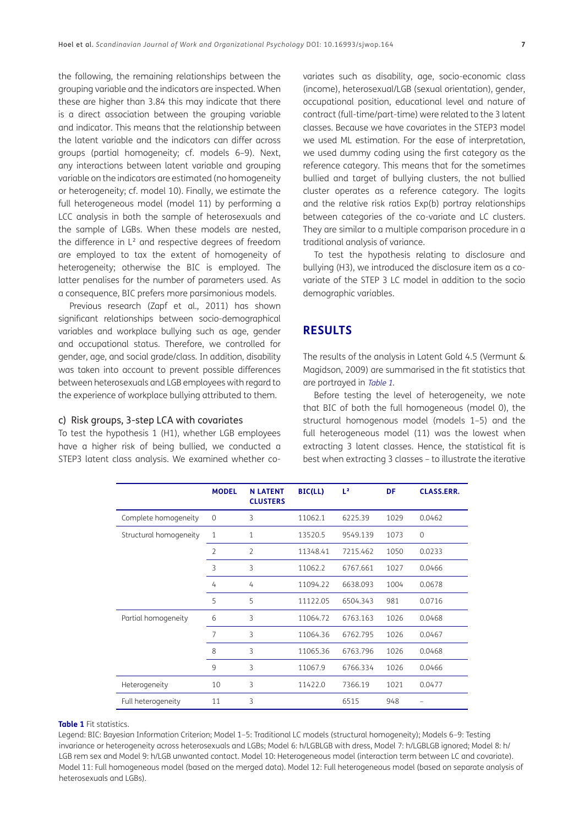the following, the remaining relationships between the grouping variable and the indicators are inspected. When these are higher than 3.84 this may indicate that there is a direct association between the grouping variable and indicator. This means that the relationship between the latent variable and the indicators can differ across groups (partial homogeneity; cf. models 6–9). Next, any interactions between latent variable and grouping variable on the indicators are estimated (no homogeneity or heterogeneity; cf. model 10). Finally, we estimate the full heterogeneous model (model 11) by performing a LCC analysis in both the sample of heterosexuals and the sample of LGBs. When these models are nested, the difference in L² and respective degrees of freedom are employed to tax the extent of homogeneity of heterogeneity; otherwise the BIC is employed. The latter penalises for the number of parameters used. As a consequence, BIC prefers more parsimonious models.

Previous research (Zapf et al., 2011) has shown significant relationships between socio-demographical variables and workplace bullying such as age, gender and occupational status. Therefore, we controlled for gender, age, and social grade/class. In addition, disability was taken into account to prevent possible differences between heterosexuals and LGB employees with regard to the experience of workplace bullying attributed to them.

#### c) Risk groups, 3-step LCA with covariates

To test the hypothesis 1 (H1), whether LGB employees have a higher risk of being bullied, we conducted a STEP3 latent class analysis. We examined whether covariates such as disability, age, socio-economic class (income), heterosexual/LGB (sexual orientation), gender, occupational position, educational level and nature of contract (full-time/part-time) were related to the 3 latent classes. Because we have covariates in the STEP3 model we used ML estimation. For the ease of interpretation, we used dummy coding using the first category as the reference category. This means that for the sometimes bullied and target of bullying clusters, the not bullied cluster operates as a reference category. The logits and the relative risk ratios Exp(b) portray relationships between categories of the co-variate and LC clusters. They are similar to a multiple comparison procedure in a traditional analysis of variance.

To test the hypothesis relating to disclosure and bullying (H3), we introduced the disclosure item as a covariate of the STEP 3 LC model in addition to the socio demographic variables.

#### **RESULTS**

The results of the analysis in Latent Gold 4.5 [\(Vermunt &](#page-15-21)  [Magidson, 2009\)](#page-15-21) are summarised in the fit statistics that are portrayed in [Table 1](#page-6-0).

Before testing the level of heterogeneity, we note that BIC of both the full homogeneous (model 0), the structural homogenous model (models 1–5) and the full heterogeneous model (11) was the lowest when extracting 3 latent classes. Hence, the statistical fit is best when extracting 3 classes – to illustrate the iterative

|                        | <b>MODEL</b>   | <b>N LATENT</b><br><b>CLUSTERS</b> | BIC(LL)  | L <sup>2</sup> | DF   | <b>CLASS.ERR.</b> |
|------------------------|----------------|------------------------------------|----------|----------------|------|-------------------|
| Complete homogeneity   | 0              | 3                                  | 11062.1  | 6225.39        | 1029 | 0.0462            |
| Structural homogeneity | $\mathbf{1}$   | 1                                  | 13520.5  | 9549.139       | 1073 | $\Omega$          |
|                        | $\overline{2}$ | $\overline{2}$                     | 11348.41 | 7215.462       | 1050 | 0.0233            |
|                        | 3              | 3                                  | 11062.2  | 6767.661       | 1027 | 0.0466            |
|                        | 4              | 4                                  | 11094.22 | 6638.093       | 1004 | 0.0678            |
|                        | 5              | 5                                  | 11122.05 | 6504.343       | 981  | 0.0716            |
| Partial homogeneity    | 6              | 3                                  | 11064.72 | 6763.163       | 1026 | 0.0468            |
|                        | 7              | 3                                  | 11064.36 | 6762.795       | 1026 | 0.0467            |
|                        | 8              | 3                                  | 11065.36 | 6763.796       | 1026 | 0.0468            |
|                        | 9              | 3                                  | 11067.9  | 6766.334       | 1026 | 0.0466            |
| Heterogeneity          | 10             | 3                                  | 11422.0  | 7366.19        | 1021 | 0.0477            |
| Full heterogeneity     | 11             | 3                                  |          | 6515           | 948  |                   |

#### <span id="page-6-0"></span>**Table 1** Fit statistics.

Legend: BIC: Bayesian Information Criterion; Model 1–5: Traditional LC models (structural homogeneity); Models 6–9: Testing invariance or heterogeneity across heterosexuals and LGBs; Model 6: h/LGBLGB with dress, Model 7: h/LGBLGB ignored; Model 8: h/ LGB rem sex and Model 9: h/LGB unwanted contact. Model 10: Heterogeneous model (interaction term between LC and covariate). Model 11: Full homogeneous model (based on the merged data). Model 12: Full heterogeneous model (based on separate analysis of heterosexuals and LGBs).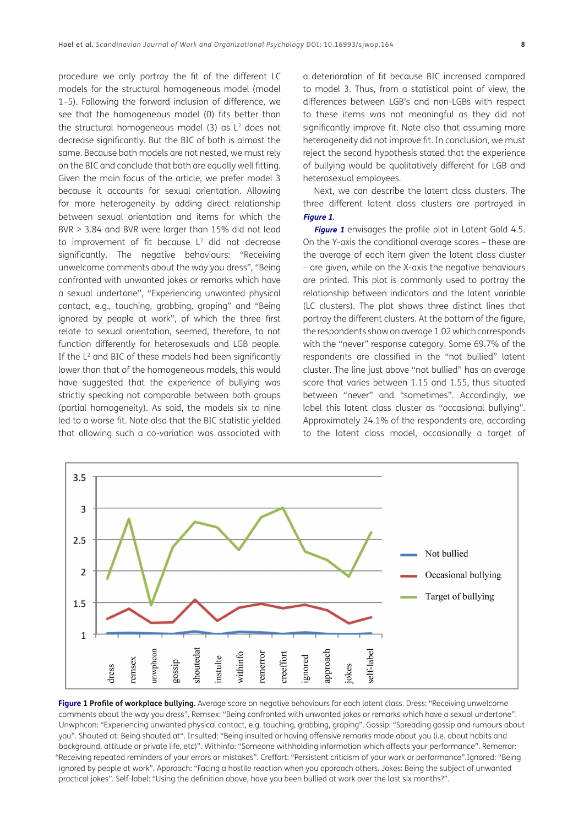procedure we only portray the fit of the different LC models for the structural homogeneous model (model 1–5). Following the forward inclusion of difference, we see that the homogeneous model (0) fits better than the structural homogeneous model  $(3)$  as  $L<sup>2</sup>$  does not decrease significantly. But the BIC of both is almost the same. Because both models are not nested, we must rely on the BIC and conclude that both are equally well fitting. Given the main focus of the article, we prefer model 3 because it accounts for sexual orientation. Allowing for more heterogeneity by adding direct relationship between sexual orientation and items for which the BVR > 3.84 and BVR were larger than 15% did not lead to improvement of fit because  $L^2$  did not decrease significantly. The negative behaviours: "Receiving unwelcome comments about the way you dress", "Being confronted with unwanted jokes or remarks which have a sexual undertone", "Experiencing unwanted physical contact, e.g., touching, grabbing, groping" and "Being ignored by people at work", of which the three first relate to sexual orientation, seemed, therefore, to not function differently for heterosexuals and LGB people. If the L<sup>2</sup> and BIC of these models had been significantly lower than that of the homogeneous models, this would have suggested that the experience of bullying was strictly speaking not comparable between both groups (partial homogeneity). As said, the models six to nine led to a worse fit. Note also that the BIC statistic yielded that allowing such a co-variation was associated with a deterioration of fit because BIC increased compared to model 3. Thus, from a statistical point of view, the differences between LGB's and non-LGBs with respect to these items was not meaningful as they did not significantly improve fit. Note also that assuming more heterogeneity did not improve fit. In conclusion, we must reject the second hypothesis stated that the experience of bullying would be qualitatively different for LGB and heterosexual employees.

Next, we can describe the latent class clusters. The three different latent class clusters are portrayed in **[Figure 1](#page-7-0)**.

**[Figure 1](#page-7-0)** envisages the profile plot in Latent Gold 4.5. On the Y-axis the conditional average scores – these are the average of each item given the latent class cluster – are given, while on the X-axis the negative behaviours are printed. This plot is commonly used to portray the relationship between indicators and the latent variable (LC clusters). The plot shows three distinct lines that portray the different clusters. At the bottom of the figure, the respondents show on average 1.02 which corresponds with the "never" response category. Some 69.7% of the respondents are classified in the "not bullied" latent cluster. The line just above "not bullied" has an average score that varies between 1.15 and 1.55, thus situated between "never" and "sometimes". Accordingly, we label this latent class cluster as "occasional bullying". Approximately 24.1% of the respondents are, according to the latent class model, occasionally a target of



<span id="page-7-0"></span>**Figure 1 Profile of workplace bullying.** Average score on negative behaviours for each latent class. Dress: "Receiving unwelcome comments about the way you dress". Remsex: "Being confronted with unwanted jokes or remarks which have a sexual undertone". Unwphcon: "Experiencing unwanted physical contact, e.g. touching, grabbing, groping". Gossip: "Spreading gossip and rumours about you". Shouted at: Being shouted at". Insulted: "Being insulted or having offensive remarks made about you (i.e. about habits and background, attitude or private life, etc)". Withinfo: "Someone withholding information which affects your performance". Remerror: "Receiving repeated reminders of your errors or mistakes". Creffort: "Persistent criticism of your work or performance".Ignored: "Being ignored by people at work". Approach: "Facing a hostile reaction when you approach others. Jokes: Being the subject of unwanted practical jokes". Self-label: "Using the definition above, have you been bullied at work over the last six months?".